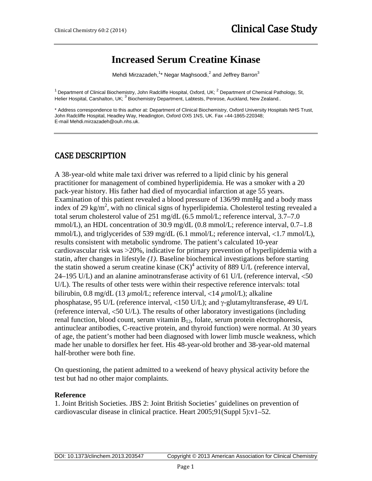# **Increased Serum Creatine Kinase**

Mehdi Mirzazadeh, $^{\text{1}\star}$  Negar Maghsoodi, $^{\text{2}}$  and Jeffrey Barron $^{\text{3}}$ 

<sup>1</sup> Department of Clinical Biochemistry, John Radcliffe Hospital, Oxford, UK;  $^2$  Department of Chemical Pathology, St, Helier Hospital, Carshalton, UK; <sup>3</sup> Biochemistry Department, Labtests, Penrose, Auckland, New Zealand..

\* Address correspondence to this author at: Department of Clinical Biochemistry, Oxford University Hospitals NHS Trust, John Radcliffe Hospital, Headley Way, Headington, Oxford OX5 1NS, UK. Fax +44-1865-220348; E-mail Mehdi.mirzazadeh@ouh.nhs.uk.

### CASE DESCRIPTION

A 38-year-old white male taxi driver was referred to a lipid clinic by his general practitioner for management of combined hyperlipidemia. He was a smoker with a 20 pack-year history. His father had died of myocardial infarction at age 55 years. Examination of this patient revealed a blood pressure of 136/99 mmHg and a body mass index of 29 kg/m<sup>2</sup>, with no clinical signs of hyperlipidemia. Cholesterol testing revealed a total serum cholesterol value of 251 mg/dL (6.5 mmol/L; reference interval, 3.7–7.0 mmol/L), an HDL concentration of 30.9 mg/dL (0.8 mmol/L; reference interval, 0.7–1.8 mmol/L), and triglycerides of 539 mg/dL (6.1 mmol/L; reference interval, <1.7 mmol/L), results consistent with metabolic syndrome. The patient's calculated 10-year cardiovascular risk was ˃20%, indicative for primary prevention of hyperlipidemia with a statin, after changes in lifestyle *(1)*. Baseline biochemical investigations before starting the statin showed a serum creatine kinase  $(CK)^4$  activity of 889 U/L (reference interval, 24–195 U/L) and an alanine aminotransferase activity of 61 U/L (reference interval, <50 U/L). The results of other tests were within their respective reference intervals: total bilirubin, 0.8 mg/dL (13 *µ*mol/L; reference interval, <14 *µ*mol/L); alkaline phosphatase, 95 U/L (reference interval, <150 U/L); and γ-glutamyltransferase, 49 U/L (reference interval, <50 U/L). The results of other laboratory investigations (including renal function, blood count, serum vitamin  $B_{12}$ , folate, serum protein electrophoresis, antinuclear antibodies, C-reactive protein, and thyroid function) were normal. At 30 years of age, the patient's mother had been diagnosed with lower limb muscle weakness, which made her unable to dorsiflex her feet. His 48-year-old brother and 38-year-old maternal half-brother were both fine.

On questioning, the patient admitted to a weekend of heavy physical activity before the test but had no other major complaints.

#### **Reference**

1. Joint British Societies. JBS 2: Joint British Societies' guidelines on prevention of cardiovascular disease in clinical practice. Heart 2005;91(Suppl 5):v1–52.